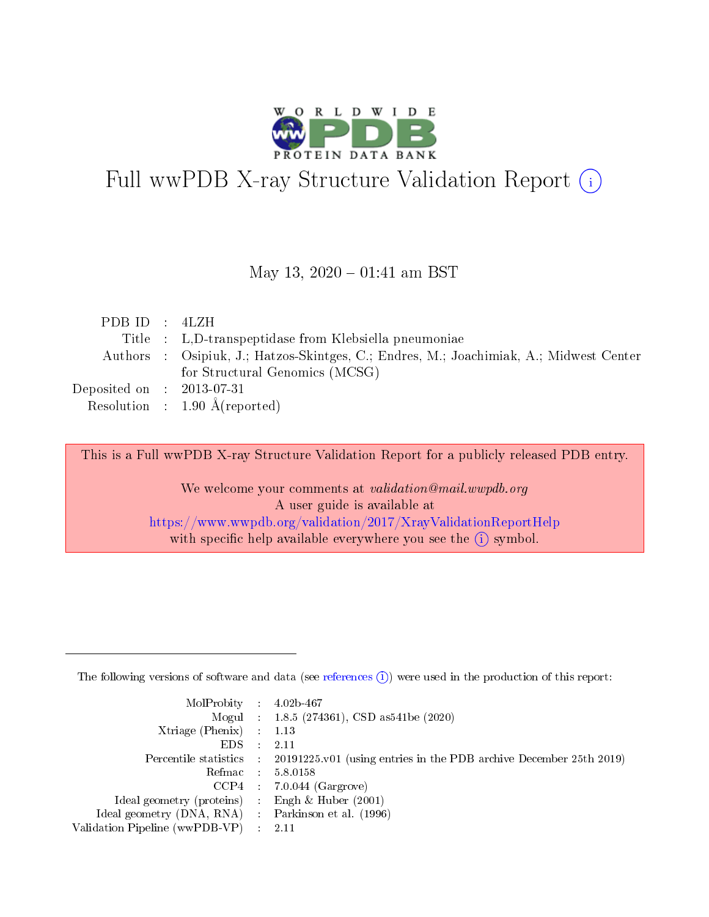

# Full wwPDB X-ray Structure Validation Report (i)

#### May 13,  $2020 - 01:41$  am BST

| PDBID : 4LZH                |                                                                                        |
|-----------------------------|----------------------------------------------------------------------------------------|
|                             | Title : L.D-transpeptidase from Klebsiella pneumoniae                                  |
|                             | Authors : Osipiuk, J.; Hatzos-Skintges, C.; Endres, M.; Joachimiak, A.; Midwest Center |
|                             | for Structural Genomics (MCSG)                                                         |
| Deposited on : $2013-07-31$ |                                                                                        |
|                             | Resolution : $1.90 \text{ Å}$ (reported)                                               |

This is a Full wwPDB X-ray Structure Validation Report for a publicly released PDB entry.

We welcome your comments at validation@mail.wwpdb.org A user guide is available at <https://www.wwpdb.org/validation/2017/XrayValidationReportHelp> with specific help available everywhere you see the  $(i)$  symbol.

The following versions of software and data (see [references](https://www.wwpdb.org/validation/2017/XrayValidationReportHelp#references)  $(1)$ ) were used in the production of this report:

| $MolProbability$ : 4.02b-467                      |                              |                                                                                            |
|---------------------------------------------------|------------------------------|--------------------------------------------------------------------------------------------|
|                                                   |                              | Mogul : 1.8.5 (274361), CSD as 541be (2020)                                                |
| Xtriage (Phenix) $: 1.13$                         |                              |                                                                                            |
| EDS –                                             | $\sim$                       | -2.11                                                                                      |
|                                                   |                              | Percentile statistics : 20191225.v01 (using entries in the PDB archive December 25th 2019) |
| Refmac : 5.8.0158                                 |                              |                                                                                            |
| CCP4                                              |                              | $7.0.044$ (Gargrove)                                                                       |
| Ideal geometry (proteins)                         | $\mathcal{L}_{\mathrm{eff}}$ | Engh & Huber $(2001)$                                                                      |
| Ideal geometry (DNA, RNA) Parkinson et al. (1996) |                              |                                                                                            |
| Validation Pipeline (wwPDB-VP) : 2.11             |                              |                                                                                            |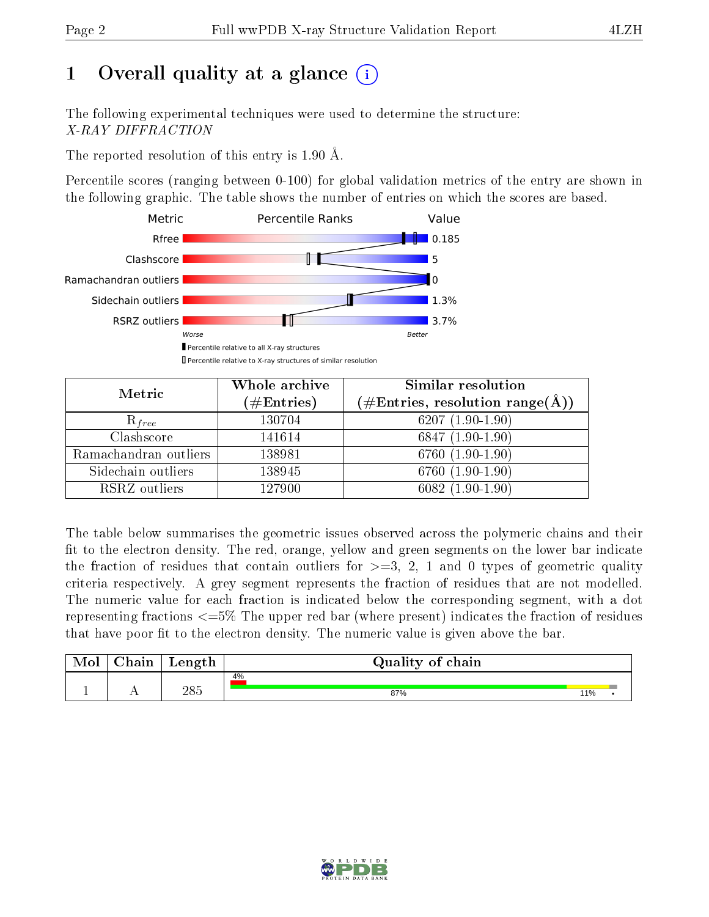# 1 [O](https://www.wwpdb.org/validation/2017/XrayValidationReportHelp#overall_quality)verall quality at a glance  $(i)$

The following experimental techniques were used to determine the structure: X-RAY DIFFRACTION

The reported resolution of this entry is 1.90 Å.

Percentile scores (ranging between 0-100) for global validation metrics of the entry are shown in the following graphic. The table shows the number of entries on which the scores are based.



| Metric                | Whole archive<br>$(\#\mathrm{Entries})$ | Similar resolution<br>$(\#\text{Entries}, \text{resolution range}(\text{\AA}))$ |
|-----------------------|-----------------------------------------|---------------------------------------------------------------------------------|
| $R_{free}$            | 130704                                  | $6207(1.90-1.90)$                                                               |
| Clashscore            | 141614                                  | $6847(1.90-1.90)$                                                               |
| Ramachandran outliers | 138981                                  | $6760(1.90-1.90)$                                                               |
| Sidechain outliers    | 138945                                  | 6760 (1.90-1.90)                                                                |
| RSRZ outliers         | 127900                                  | $6082(1.90-1.90)$                                                               |

The table below summarises the geometric issues observed across the polymeric chains and their fit to the electron density. The red, orange, yellow and green segments on the lower bar indicate the fraction of residues that contain outliers for  $>=3, 2, 1$  and 0 types of geometric quality criteria respectively. A grey segment represents the fraction of residues that are not modelled. The numeric value for each fraction is indicated below the corresponding segment, with a dot representing fractions  $\epsilon=5\%$  The upper red bar (where present) indicates the fraction of residues that have poor fit to the electron density. The numeric value is given above the bar.

| Mol | hain | Length | Quality of chain |     |  |  |  |  |
|-----|------|--------|------------------|-----|--|--|--|--|
|     |      |        | 4%               |     |  |  |  |  |
|     | . .  | 285    | 87%              | 11% |  |  |  |  |

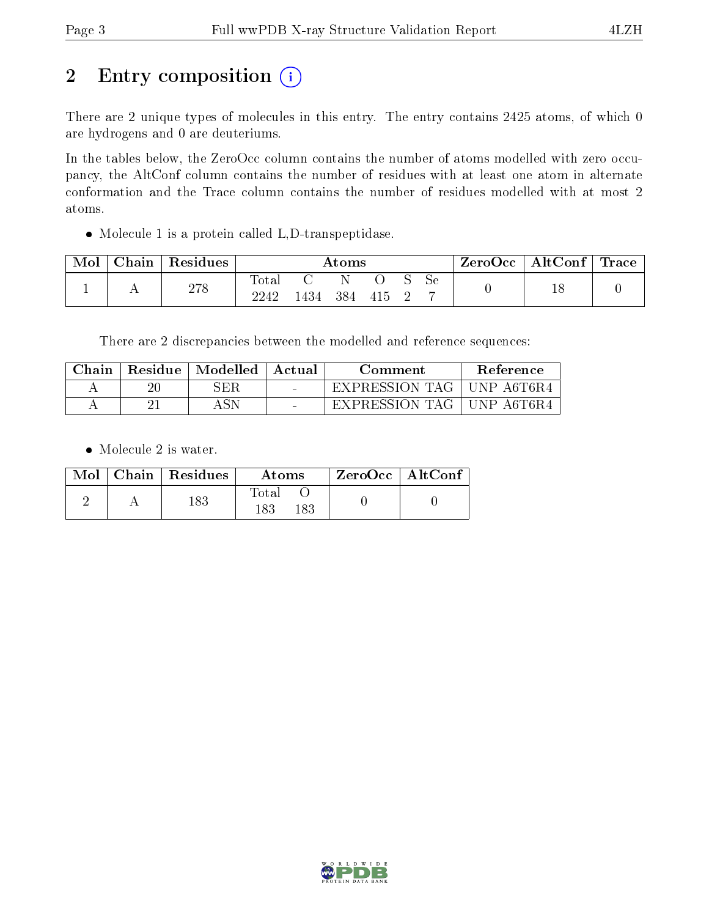# 2 Entry composition (i)

There are 2 unique types of molecules in this entry. The entry contains 2425 atoms, of which 0 are hydrogens and 0 are deuteriums.

In the tables below, the ZeroOcc column contains the number of atoms modelled with zero occupancy, the AltConf column contains the number of residues with at least one atom in alternate conformation and the Trace column contains the number of residues modelled with at most 2 atoms.

Molecule 1 is a protein called L,D-transpeptidase.

| Mol | Chain | Residues   | $\rm{Atoms}$           |      |     |      |  | ZeroOcc | $\mid$ AltConf $\mid$ Trace $\mid$ |  |  |
|-----|-------|------------|------------------------|------|-----|------|--|---------|------------------------------------|--|--|
|     | . .   | 070<br>210 | $\text{Total}$<br>2242 | 1434 | 384 | 415. |  | Sе      |                                    |  |  |

There are 2 discrepancies between the modelled and reference sequences:

| ${\rm Chain}$ | Residue | $\mid$ Modelled | Actual | Comment               | Reference  |
|---------------|---------|-----------------|--------|-----------------------|------------|
|               |         | SER             | $\sim$ | <b>EXPRESSION TAG</b> | UNP A6T6R4 |
|               |         |                 | $\sim$ | EXPRESSION TAG        | UNP A6T6R4 |

• Molecule 2 is water.

|  | $Mol$   Chain   Residues | Atoms               | $ZeroOcc \   \ AltConf$ |  |
|--|--------------------------|---------------------|-------------------------|--|
|  | 183                      | Fotal<br>183<br>183 |                         |  |

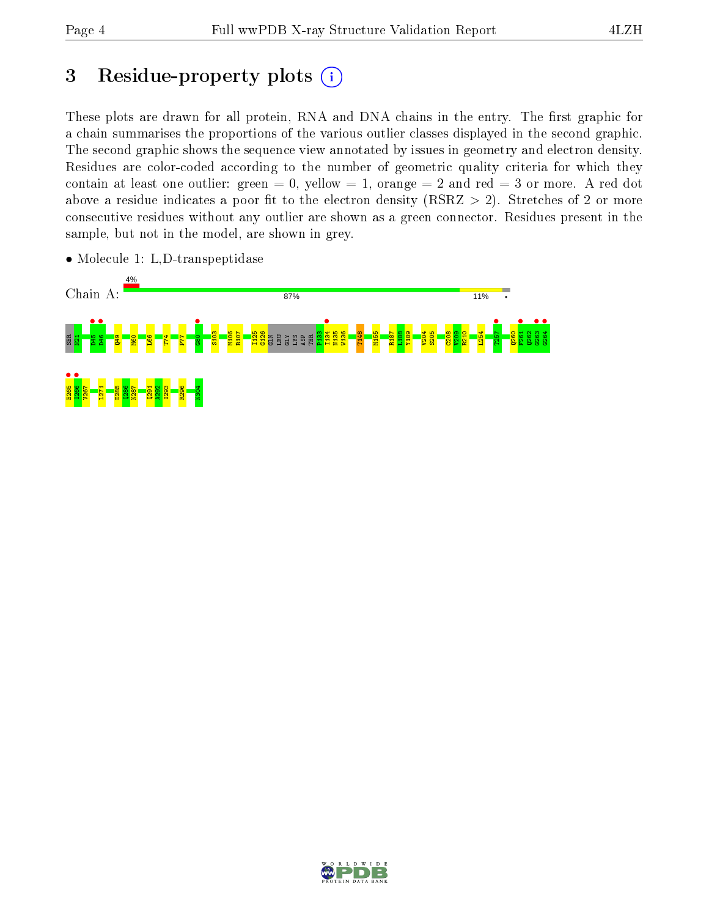## 3 Residue-property plots  $(i)$

These plots are drawn for all protein, RNA and DNA chains in the entry. The first graphic for a chain summarises the proportions of the various outlier classes displayed in the second graphic. The second graphic shows the sequence view annotated by issues in geometry and electron density. Residues are color-coded according to the number of geometric quality criteria for which they contain at least one outlier: green  $= 0$ , yellow  $= 1$ , orange  $= 2$  and red  $= 3$  or more. A red dot above a residue indicates a poor fit to the electron density (RSRZ  $> 2$ ). Stretches of 2 or more consecutive residues without any outlier are shown as a green connector. Residues present in the sample, but not in the model, are shown in grey.



• Molecule 1: L,D-transpeptidase

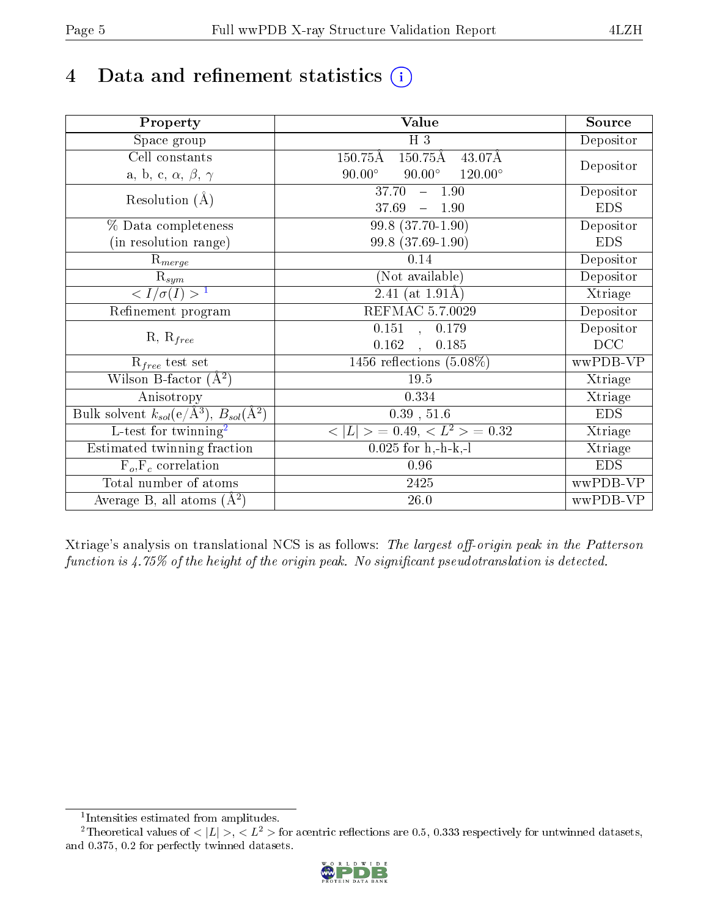# 4 Data and refinement statistics  $(i)$

| Property                                                   | <b>Value</b>                                                  | Source     |
|------------------------------------------------------------|---------------------------------------------------------------|------------|
| Space group                                                | $H_3$                                                         | Depositor  |
| Cell constants                                             | $150.75\text{\AA}$<br>$150.75\text{\AA}$<br>$43.07\text{\AA}$ |            |
| a, b, c, $\alpha$ , $\beta$ , $\gamma$                     | $90.00^\circ$<br>$90.00^\circ$<br>$120.00^{\circ}$            | Depositor  |
| Resolution $(A)$                                           | 37.70<br>$-1.90$                                              | Depositor  |
|                                                            | 37.69<br>$-1.90$                                              | <b>EDS</b> |
| % Data completeness                                        | $99.8$ $(37.70-1.90)$                                         | Depositor  |
| (in resolution range)                                      | 99.8 (37.69-1.90)                                             | <b>EDS</b> |
| $R_{merge}$                                                | 0.14                                                          | Depositor  |
| $\mathrm{R}_{sym}$                                         | (Not available)                                               | Depositor  |
| $\langle I/\sigma(I) \rangle^{-1}$                         | $\overline{2.41}$ (at 1.91Å)                                  | Xtriage    |
| Refinement program                                         | REFMAC 5.7.0029                                               | Depositor  |
|                                                            | $\overline{0.151}$ ,<br>0.179                                 | Depositor  |
| $R, R_{free}$                                              | 0.162<br>0.185<br>$\ddot{\phantom{a}}$                        | DCC        |
| $R_{free}$ test set                                        | 1456 reflections $(5.08\%)$                                   | wwPDB-VP   |
| Wilson B-factor $(A^2)$                                    | 19.5                                                          | Xtriage    |
| Anisotropy                                                 | 0.334                                                         | Xtriage    |
| Bulk solvent $k_{sol}$ (e/Å <sup>3</sup> ), $B_{sol}(A^2)$ | $0.39$ , $51.6$                                               | <b>EDS</b> |
| $\overline{L-test for}$ twinning <sup>2</sup>              | $< L >$ = 0.49, $< L2$ = 0.32                                 | Xtriage    |
| Estimated twinning fraction                                | $0.025$ for h,-h-k,-l                                         | Xtriage    |
| $F_o, F_c$ correlation                                     | 0.96                                                          | <b>EDS</b> |
| Total number of atoms                                      | $2425\,$                                                      | wwPDB-VP   |
| Average B, all atoms $(A^2)$                               | $26.0\,$                                                      | wwPDB-VP   |

Xtriage's analysis on translational NCS is as follows: The largest off-origin peak in the Patterson function is  $4.75\%$  of the height of the origin peak. No significant pseudotranslation is detected.

<sup>&</sup>lt;sup>2</sup>Theoretical values of  $\langle |L| \rangle$ ,  $\langle L^2 \rangle$  for acentric reflections are 0.5, 0.333 respectively for untwinned datasets, and 0.375, 0.2 for perfectly twinned datasets.



<span id="page-4-1"></span><span id="page-4-0"></span><sup>1</sup> Intensities estimated from amplitudes.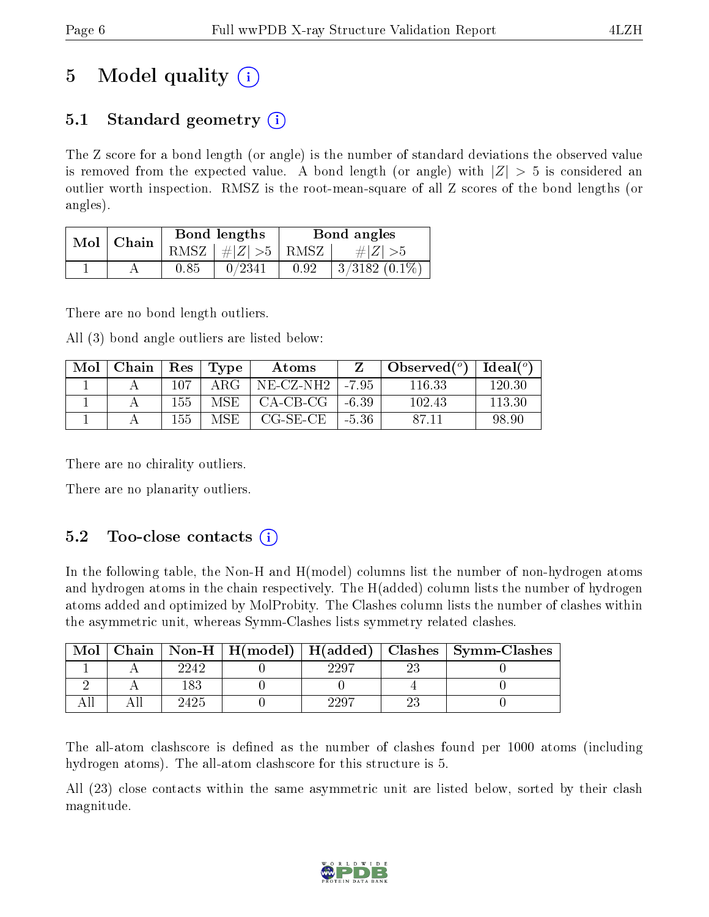# 5 Model quality  $(i)$

### 5.1 Standard geometry  $\overline{()}$

The Z score for a bond length (or angle) is the number of standard deviations the observed value is removed from the expected value. A bond length (or angle) with  $|Z| > 5$  is considered an outlier worth inspection. RMSZ is the root-mean-square of all Z scores of the bond lengths (or angles).

| Mol | Chain |          | Bond lengths                     | Bond angles |                 |  |
|-----|-------|----------|----------------------------------|-------------|-----------------|--|
|     |       |          | RMSZ $\mid \#  Z  > 5 \mid$ RMSZ |             | $\# Z  > 5$     |  |
|     |       | $0.85\,$ | 0/2341                           | 0.92        | $3/3182(0.1\%)$ |  |

There are no bond length outliers.

All (3) bond angle outliers are listed below:

| Mol | Chain | $\operatorname{Res}$ | Type | Atoms      |         | Observed $(°)$ | Ideal $(°)$ |
|-----|-------|----------------------|------|------------|---------|----------------|-------------|
|     |       | 107                  | ARG- | NE-CZ-NH2  | $-7.95$ | 116.33         | 120.30      |
|     |       | 155                  | MSE. | $CA-CB-CG$ | $-6.39$ | 102.43         | 113.30      |
|     |       | 155                  | MSE  | CG-SE-CE   | $-5.36$ | 87.11          | 98.90       |

There are no chirality outliers.

There are no planarity outliers.

### 5.2 Too-close contacts  $(i)$

In the following table, the Non-H and H(model) columns list the number of non-hydrogen atoms and hydrogen atoms in the chain respectively. The H(added) column lists the number of hydrogen atoms added and optimized by MolProbity. The Clashes column lists the number of clashes within the asymmetric unit, whereas Symm-Clashes lists symmetry related clashes.

| Mol |      |      | Chain   Non-H   H(model)   H(added)   Clashes   Symm-Clashes |
|-----|------|------|--------------------------------------------------------------|
|     | 2242 | 2297 |                                                              |
|     | 183  |      |                                                              |
|     | 2425 | 2297 |                                                              |

The all-atom clashscore is defined as the number of clashes found per 1000 atoms (including hydrogen atoms). The all-atom clashscore for this structure is 5.

All (23) close contacts within the same asymmetric unit are listed below, sorted by their clash magnitude.

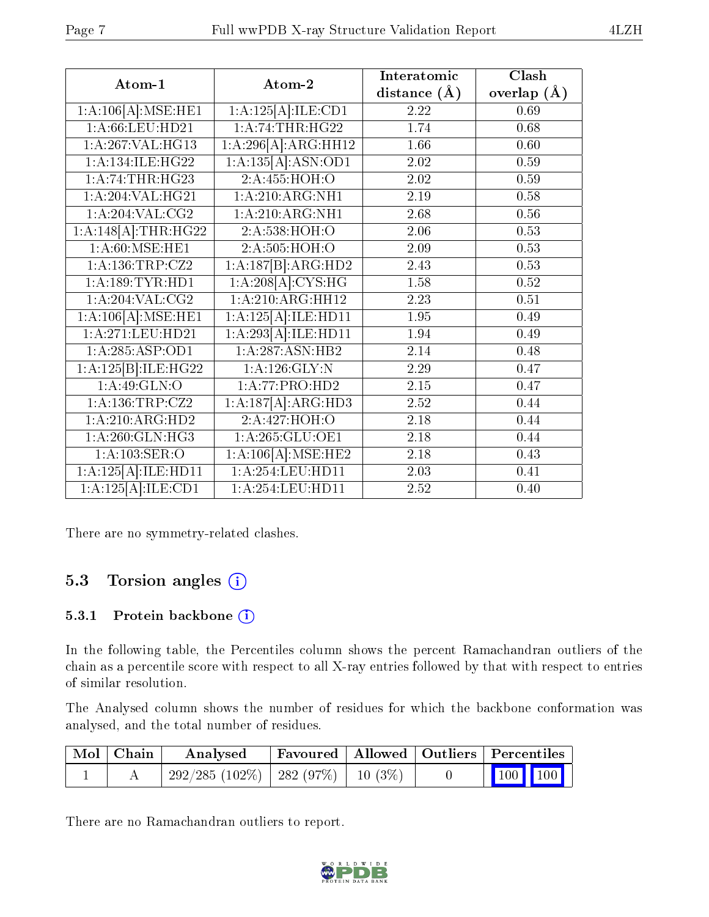| Atom-1                       | Atom-2              | Interatomic       | Clash           |
|------------------------------|---------------------|-------------------|-----------------|
|                              |                     | distance $(A)$    | overlap $(\AA)$ |
| 1:A:106[A]:MSE:HE1           | 1:A:125[A]:ILE:CD1  | 2.22              | 0.69            |
| 1:A:66:LEU:HD21              | 1: A:74:THR:HG22    | 1.74              | 0.68            |
| 1:A:267:VAL:HG13             | 1:A:296[A]:ARG:HH12 | 1.66              | 0.60            |
| 1: A:134: ILE: HG22          | 1:A:135[A]:ASN:OD1  | 2.02              | 0.59            |
| 1: A:74:THR:HG23             | 2:A:455:HOH:O       | 2.02              | 0.59            |
| 1:A:204:VAL:HG21             | 1:A:210:ARG:NH1     | 2.19              | 0.58            |
| 1: A:204:VAL: CG2            | 1: A:210:ARG:NH1    | 2.68              | 0.56            |
| $1:A:148[A]:\text{THR}:HG22$ | 2:A:538:HOH:O       | 2.06              | 0.53            |
| 1: A:60:MSE:HE1              | 2:A:505:HOH:O       | 2.09              | 0.53            |
| 1: A: 136: TRP: CZ2          | 1:A:187[B]:ARG:HD2  | 2.43              | 0.53            |
| 1: A: 189: TYR: HD1          | 1:A:208[A]:CYS:HG   | 1.58              | 0.52            |
| 1: A:204:VAL: CG2            | 1:A:210:ARG:HH12    | 2.23              | 0.51            |
| 1:A:106[A]:MSE:HE1           | 1:A:125[A]:ILE:HDI1 | 1.95              | 0.49            |
| 1:A:271:LEU:HD21             | 1:A:293[A]:ILE:HD11 | 1.94              | 0.49            |
| 1: A: 285: ASP: OD1          | 1:A:287:ASN:HB2     | $\overline{2.14}$ | 0.48            |
| 1:A:125[B]:ILE:HG22          | $1:$ A:126:GLY:N    | 2.29              | 0.47            |
| 1: A:49: GLN:O               | 1:A:77:PRO:HD2      | 2.15              | 0.47            |
| 1: A: 136: TRP: CZ2          | 1:A:187[A]:ARG:HD3  | 2.52              | 0.44            |
| 1:A:210:ARG:HD2              | 2:A:427:HOH:O       | 2.18              | 0.44            |
| 1: A:260: GLN: HG3           | 1: A:265: GLU:OE1   | 2.18              | 0.44            |
| 1:A:103:SER:O                | 1:A:106[A]:MSE:HE2  | 2.18              | 0.43            |
| 1:A:125[A]:ILE:HD11          | 1:A:254:LEU:HDI1    | 2.03              | 0.41            |
| 1:A:125[A]:ILE:CD1           | 1:A:254:LEU:HD11    | $\overline{2.52}$ | 0.40            |

There are no symmetry-related clashes.

### 5.3 Torsion angles (i)

#### 5.3.1 Protein backbone (i)

In the following table, the Percentiles column shows the percent Ramachandran outliers of the chain as a percentile score with respect to all X-ray entries followed by that with respect to entries of similar resolution.

The Analysed column shows the number of residues for which the backbone conformation was analysed, and the total number of residues.

| $\mid$ Mol $\mid$ Chain $\mid$ | Analysed                                  |  | $\mid$ Favoured   Allowed   Outliers   Percentiles                               |
|--------------------------------|-------------------------------------------|--|----------------------------------------------------------------------------------|
|                                | $292/285 (102\%)$   282 (97\%)   10 (3\%) |  | $\begin{array}{ c c c c c c } \hline \text{100} & \text{100} \hline \end{array}$ |

There are no Ramachandran outliers to report.

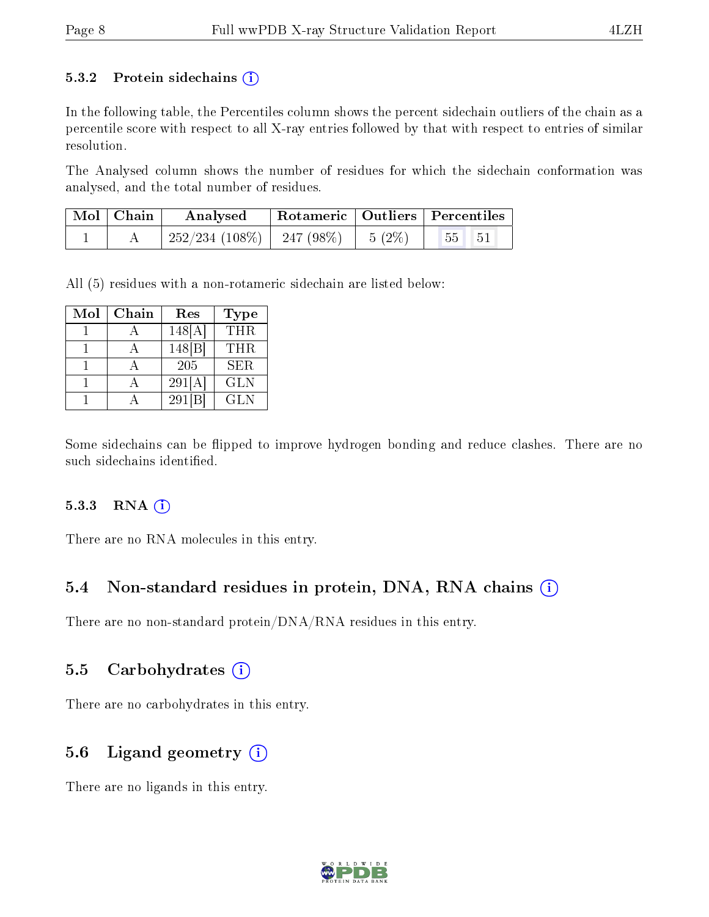#### 5.3.2 Protein sidechains  $(i)$

In the following table, the Percentiles column shows the percent sidechain outliers of the chain as a percentile score with respect to all X-ray entries followed by that with respect to entries of similar resolution.

The Analysed column shows the number of residues for which the sidechain conformation was analysed, and the total number of residues.

| Mol   Chain | Analysed                       |          | $^{\dagger}$ Rotameric   Outliers   Percentiles |
|-------------|--------------------------------|----------|-------------------------------------------------|
|             | $252/234$ (108\%)   247 (98\%) | $5(2\%)$ | 55 51                                           |

All (5) residues with a non-rotameric sidechain are listed below:

| Mol | Chain | Res    | Type       |
|-----|-------|--------|------------|
|     |       | 148[A] | <b>THR</b> |
|     |       | 148 B  | THR.       |
|     |       | 205    | <b>SER</b> |
|     |       | 291[A] | <b>GLN</b> |
|     |       | 291 B  | <b>GLN</b> |

Some sidechains can be flipped to improve hydrogen bonding and reduce clashes. There are no such sidechains identified.

#### 5.3.3 RNA (i)

There are no RNA molecules in this entry.

#### 5.4 Non-standard residues in protein, DNA, RNA chains  $(i)$

There are no non-standard protein/DNA/RNA residues in this entry.

#### 5.5 Carbohydrates  $(i)$

There are no carbohydrates in this entry.

#### 5.6 Ligand geometry  $(i)$

There are no ligands in this entry.

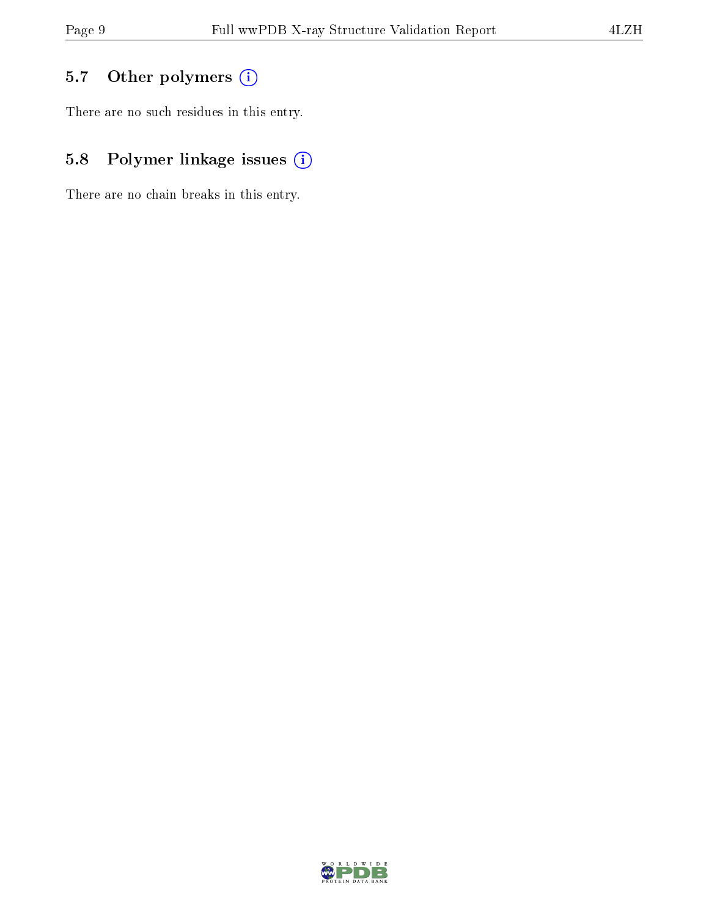### 5.7 [O](https://www.wwpdb.org/validation/2017/XrayValidationReportHelp#nonstandard_residues_and_ligands)ther polymers (i)

There are no such residues in this entry.

### 5.8 Polymer linkage issues (i)

There are no chain breaks in this entry.

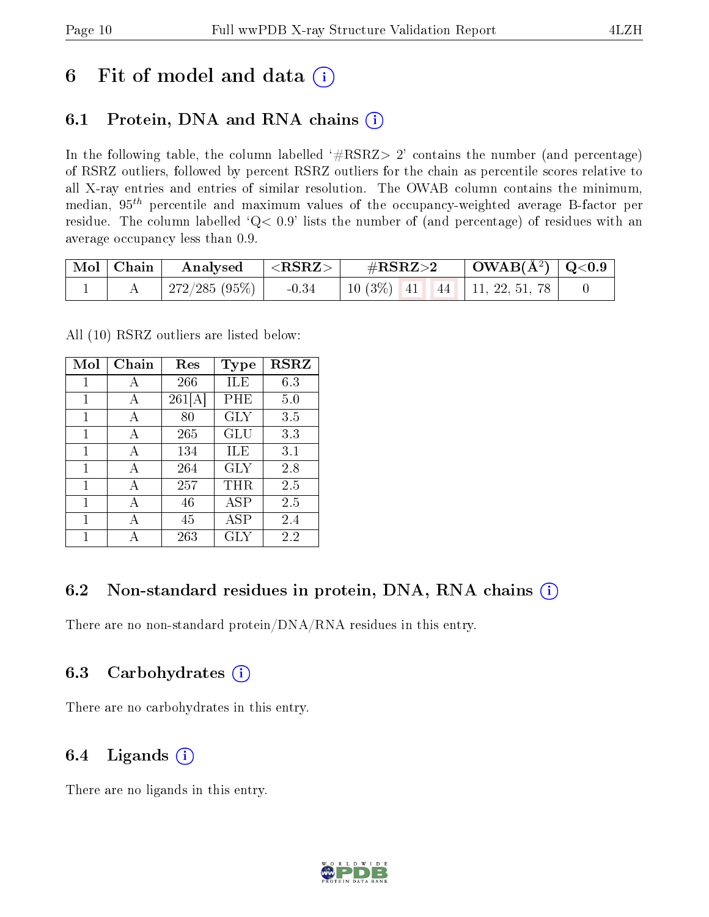## 6 Fit of model and data  $(i)$

## 6.1 Protein, DNA and RNA chains  $(i)$

In the following table, the column labelled  $#RSRZ> 2'$  contains the number (and percentage) of RSRZ outliers, followed by percent RSRZ outliers for the chain as percentile scores relative to all X-ray entries and entries of similar resolution. The OWAB column contains the minimum, median,  $95<sup>th</sup>$  percentile and maximum values of the occupancy-weighted average B-factor per residue. The column labelled  $Q< 0.9$  lists the number of (and percentage) of residues with an average occupancy less than 0.9.

| $\vert$ Mol $\vert$ Chain $\vert$ | $\rm{Analysised}$ $  <$ RSRZ $>$ |         | $\rm \#RSRZ{>}2$                    | $\vert$ OWAB(Å <sup>2</sup> ) $\vert$ Q<0.9 |  |
|-----------------------------------|----------------------------------|---------|-------------------------------------|---------------------------------------------|--|
|                                   | 272/285 (95%)                    | $-0.34$ | 10 (3\%)   41   44   11, 22, 51, 78 |                                             |  |

All (10) RSRZ outliers are listed below:

| Mol | Chain | Res    | Type      | <b>RSRZ</b> |
|-----|-------|--------|-----------|-------------|
| 1   | А     | 266    | ILE       | 6.3         |
| 1   | А     | 261[A] | PHE       | 5.0         |
| 1   | А     | 80     | GLY       | 3.5         |
| 1   | А     | 265    | GLU       | 3.3         |
| 1   | A     | 134    | ILE       | 3.1         |
| 1   | А     | 264    | GLY       | 2.8         |
| 1   | А     | 257    | $\rm THR$ | 2.5         |
| 1   | А     | 46     | ASP       | 2.5         |
| 1   | А     | 45     | ASP       | 2.4         |
| 1   | А     | 263    | GLY       | 2.2         |

#### 6.2 Non-standard residues in protein, DNA, RNA chains (i)

There are no non-standard protein/DNA/RNA residues in this entry.

#### 6.3 Carbohydrates (i)

There are no carbohydrates in this entry.

#### 6.4 Ligands  $(i)$

There are no ligands in this entry.